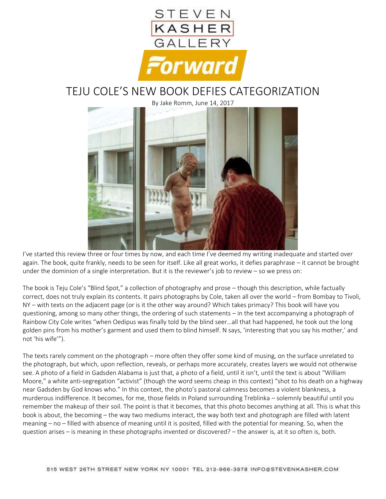

## TEJU COLE'S NEW BOOK DEFIES CATEGORIZATION

By Jake Romm, June 14, 2017



I've started this review three or four times by now, and each time I've deemed my writing inadequate and started over again. The book, quite frankly, needs to be seen for itself. Like all great works, it defies paraphrase – it cannot be brought under the dominion of a single interpretation. But it is the reviewer's job to review – so we press on:

The book is Teju Cole's "Blind Spot," a collection of photography and prose – though this description, while factually correct, does not truly explain its contents. It pairs photographs by Cole, taken all over the world – from Bombay to Tivoli, NY – with texts on the adjacent page (or is it the other way around? Which takes primacy? This book will have you questioning, among so many other things, the ordering of such statements – in the text accompanying a photograph of Rainbow City Cole writes "when Oedipus was finally told by the blind seer…all that had happened, he took out the long golden pins from his mother's garment and used them to blind himself. N says, 'interesting that you say his mother,' and not 'his wife'").

The texts rarely comment on the photograph – more often they offer some kind of musing, on the surface unrelated to the photograph, but which, upon reflection, reveals, or perhaps more accurately, creates layers we would not otherwise see. A photo of a field in Gadsden Alabama is just that, a photo of a field, until it isn't, until the text is about "William Moore," a white anti-segregation "activist" (though the word seems cheap in this context) "shot to his death on a highway near Gadsden by God knows who." In this context, the photo's pastoral calmness becomes a violent blankness, a murderous indifference. It becomes, for me, those fields in Poland surrounding Treblinka – solemnly beautiful until you remember the makeup of their soil. The point is that it becomes, that this photo becomes anything at all. This is what this book is about, the becoming – the way two mediums interact, the way both text and photograph are filled with latent meaning – no – filled with absence of meaning until it is posited, filled with the potential for meaning. So, when the question arises – is meaning in these photographs invented or discovered? – the answer is, at it so often is, both.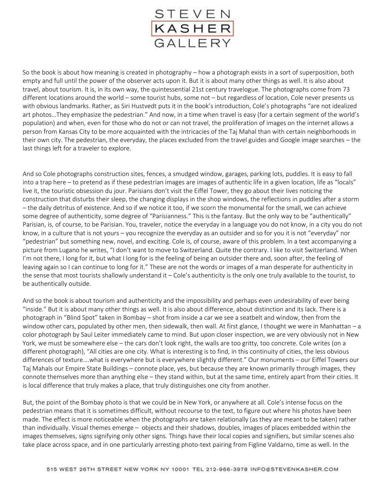

So the book is about how meaning is created in photography – how a photograph exists in a sort of superposition, both empty and full until the power of the observer acts upon it. But it is about many other things as well. It is also about travel, about tourism. It is, in its own way, the quintessential 21st century travelogue. The photographs come from 73 different locations around the world – some tourist hubs, some not – but regardless of location, Cole never presents us with obvious landmarks. Rather, as Siri Hustvedt puts it in the book's introduction, Cole's photographs "are not idealized art photos…They emphasize the pedestrian." And now, in a time when travel is easy (for a certain segment of the world's population) and when, even for those who do not or can not travel, the proliferation of images on the internet allows a person from Kansas City to be more acquainted with the intricacies of the Taj Mahal than with certain neighborhoods in their own city. The pedestrian, the everyday, the places excluded from the travel guides and Google image searches – the last things left for a traveler to explore.

And so Cole photographs construction sites, fences, a smudged window, garages, parking lots, puddles. It is easy to fall into a trap here – to pretend as if these pedestrian images are images of authentic life in a given location, life as "locals" live it, the touristic obsession du jour. Parisians don't visit the Eiffel Tower, they go about their lives noticing the construction that disturbs their sleep, the changing displays in the shop windows, the reflections in puddles after a storm – the daily detritus of existence. And so if we notice it too, if we scorn the monumental for the small, we can achieve some degree of authenticity, some degree of "Parisianness." This is the fantasy. But the only way to be "authentically" Parisian, is, of course, to be Parisian. You, traveler, notice the everyday in a language you do not know, in a city you do not know, in a culture that is not yours – you recognize the everyday as an outsider and so for you it is not "everyday" nor "pedestrian" but something new, novel, and exciting. Cole is, of course, aware of this problem. In a text accompanying a picture from Lugano he writes, "I don't want to move to Switzerland. Quite the contrary. I like to visit Switzerland. When I'm not there, I long for it, but what I long for is the feeling of being an outsider there and, soon after, the feeling of leaving again so I can continue to long for it." These are not the words or images of a man desperate for authenticity in the sense that most tourists shallowly understand it – Cole's authenticity is the only one truly available to the tourist, to be authentically outside.

And so the book is about tourism and authenticity and the impossibility and perhaps even undesirability of ever being "inside." But it is about many other things as well. It is also about difference, about distinction and its lack. There is a photograph in "Blind Spot" taken in Bombay – shot from inside a car we see a seatbelt and window, then from the window other cars, populated by other men, then sidewalk, then wall. At first glance, I thought we were in Manhattan – a color photograph by Saul Leiter immediately came to mind. But upon closer inspection, we are very obviously not in New York, we must be somewhere else – the cars don't look right, the walls are too gritty, too concrete. Cole writes (on a different photograph), "All cities are one city. What is interesting is to find, in this continuity of cities, the less obvious differences of texture….what is everywhere but is everywhere slightly different." Our monuments – our Eiffel Towers our Taj Mahals our Empire State Buildings – connote place, yes, but because they are known primarily through images, they connote themselves more than anything else – they stand within, but at the same time, entirely apart from their cities. It is local difference that truly makes a place, that truly distinguishes one city from another.

But, the point of the Bombay photo is that we could be in New York, or anywhere at all. Cole's intense focus on the pedestrian means that it is sometimes difficult, without recourse to the text, to figure out where his photos have been made. The effect is more noticeable when the photographs are taken relationally (as they are meant to be taken) rather than individually. Visual themes emerge – objects and their shadows, doubles, images of places embedded within the images themselves, signs signifying only other signs. Things have their local copies and signifiers, but similar scenes also take place across space, and in one particularly arresting photo-text pairing from Figline Valdarno, time as well. In the